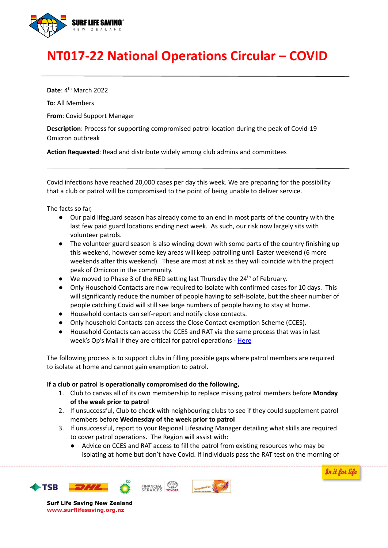

## **NT017-22 National Operations Circular – COVID**

**Date**: 4<sup>th</sup> March 2022

**To**: All Members

**From**: Covid Support Manager

**Description**: Process for supporting compromised patrol location during the peak of Covid-19 Omicron outbreak

**Action Requested**: Read and distribute widely among club admins and committees

Covid infections have reached 20,000 cases per day this week. We are preparing for the possibility that a club or patrol will be compromised to the point of being unable to deliver service.

The facts so far,

- Our paid lifeguard season has already come to an end in most parts of the country with the last few paid guard locations ending next week. As such, our risk now largely sits with volunteer patrols.
- The volunteer guard season is also winding down with some parts of the country finishing up this weekend, however some key areas will keep patrolling until Easter weekend (6 more weekends after this weekend). These are most at risk as they will coincide with the project peak of Omicron in the community.
- We moved to Phase 3 of the RED setting last Thursday the 24<sup>th</sup> of February.
- Only Household Contacts are now required to Isolate with confirmed cases for 10 days. This will significantly reduce the number of people having to self-isolate, but the sheer number of people catching Covid will still see large numbers of people having to stay at home.
- Household contacts can self-report and notify close contacts.
- Only household Contacts can access the Close Contact exemption Scheme (CCES).
- Household Contacts can access the CCES and RAT via the same process that was in last week's Op's Mail if they are critical for patrol operations - [Here](https://surflifesavingnewzealand.cmail20.com/t/j-l-zddjhjy-ijkrjluydk-r/)

The following process is to support clubs in filling possible gaps where patrol members are required to isolate at home and cannot gain exemption to patrol.

## **If a club or patrol is operationally compromised do the following,**

- 1. Club to canvas all of its own membership to replace missing patrol members before **Monday of the week prior to patrol**
- 2. If unsuccessful, Club to check with neighbouring clubs to see if they could supplement patrol members before **Wednesday of the week prior to patrol**
- 3. If unsuccessful, report to your Regional Lifesaving Manager detailing what skills are required to cover patrol operations. The Region will assist with:
	- Advice on CCES and RAT access to fill the patrol from existing resources who may be isolating at home but don't have Covid. If individuals pass the RAT test on the morning of







**Surf Life Saving New Zealand www.surflifesaving.org.nz**